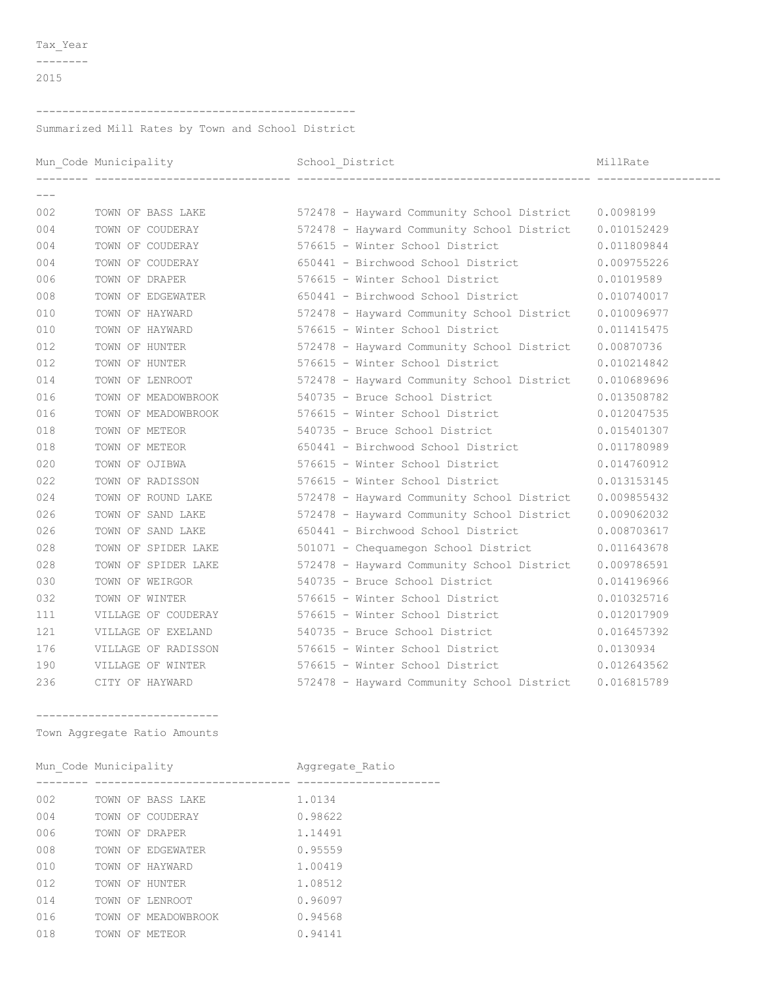Tax\_Year

 $-----<sub>-</sub>$ 

## 

Summarized Mill Rates by Town and School District

|       |                     |                                                                         | MillRate    |
|-------|---------------------|-------------------------------------------------------------------------|-------------|
| $---$ |                     |                                                                         |             |
| 002   |                     | TOWN OF BASS LAKE 572478 - Hayward Community School District 0.0098199  |             |
| 004   |                     | TOWN OF COUDERAY 572478 - Hayward Community School District 0.010152429 |             |
| 004   | TOWN OF COUDERAY    | 576615 - Winter School District                                         | 0.011809844 |
| 004   | TOWN OF COUDERAY    | 650441 - Birchwood School District 0.009755226                          |             |
| 006   | TOWN OF DRAPER      | 576615 - Winter School District 0.01019589                              |             |
| 008   |                     | TOWN OF EDGEWATER 650441 - Birchwood School District                    | 0.010740017 |
| 010   | TOWN OF HAYWARD     | 572478 - Hayward Community School District 0.010096977                  |             |
| 010   | TOWN OF HAYWARD     | 576615 - Winter School District                                         | 0.011415475 |
| 012   | TOWN OF HUNTER      | 572478 - Hayward Community School District                              | 0.00870736  |
| 012   | TOWN OF HUNTER      | 576615 - Winter School District                                         | 0.010214842 |
| 014   | TOWN OF LENROOT     | 572478 - Hayward Community School District                              | 0.010689696 |
| 016   |                     | TOWN OF MEADOWBROOK 540735 - Bruce School District                      | 0.013508782 |
| 016   |                     | TOWN OF MEADOWBROOK 576615 - Winter School District                     | 0.012047535 |
| 018   | TOWN OF METEOR      | 540735 - Bruce School District                                          | 0.015401307 |
| 018   | TOWN OF METEOR      | 650441 - Birchwood School District                                      | 0.011780989 |
| 020   | TOWN OF OJIBWA      | 576615 - Winter School District                                         | 0.014760912 |
| 022   | TOWN OF RADISSON    | 576615 - Winter School District                                         | 0.013153145 |
| 024   | TOWN OF ROUND LAKE  | 572478 - Hayward Community School District 0.009855432                  |             |
| 026   | TOWN OF SAND LAKE   | 572478 - Hayward Community School District 0.009062032                  |             |
| 026   | TOWN OF SAND LAKE   | 650441 - Birchwood School District                                      | 0.008703617 |
| 028   | TOWN OF SPIDER LAKE | 501071 - Chequamegon School District 0.011643678                        |             |
| 028   | TOWN OF SPIDER LAKE | 572478 - Hayward Community School District 0.009786591                  |             |
| 030   | TOWN OF WEIRGOR     | 540735 - Bruce School District                                          | 0.014196966 |
| 032   | TOWN OF WINTER      | 576615 - Winter School District                                         | 0.010325716 |
| 111   | VILLAGE OF COUDERAY | 576615 - Winter School District                                         | 0.012017909 |
| 121   | VILLAGE OF EXELAND  | 540735 - Bruce School District                                          | 0.016457392 |
| 176   |                     | VILLAGE OF RADISSON 576615 - Winter School District 0.0130934           |             |
| 190   | VILLAGE OF WINTER   | 576615 - Winter School District                                         | 0.012643562 |
| 236   | CITY OF HAYWARD     | 572478 - Hayward Community School District 0.016815789                  |             |
|       |                     |                                                                         |             |

\_\_\_\_\_\_\_\_\_\_\_\_\_\_\_\_\_\_\_\_\_\_\_\_\_\_\_\_\_\_ Town Aggregate Ratio Amounts

| Mun Code Municipality |                     | Aggregate Ratio |
|-----------------------|---------------------|-----------------|
|                       |                     |                 |
| 002                   | TOWN OF BASS LAKE   | 1.0134          |
| 004                   | TOWN OF COUDERAY    | 0.98622         |
| 006                   | TOWN OF DRAPER      | 1.14491         |
| 008                   | TOWN OF EDGEWATER   | 0.95559         |
| 010                   | TOWN OF HAYWARD     | 1.00419         |
| 012                   | TOWN OF HUNTER      | 1.08512         |
| 014                   | TOWN OF LENROOT     | 0.96097         |
| 016                   | TOWN OF MEADOWBROOK | 0.94568         |
| 018                   | TOWN OF METEOR      | 0.94141         |